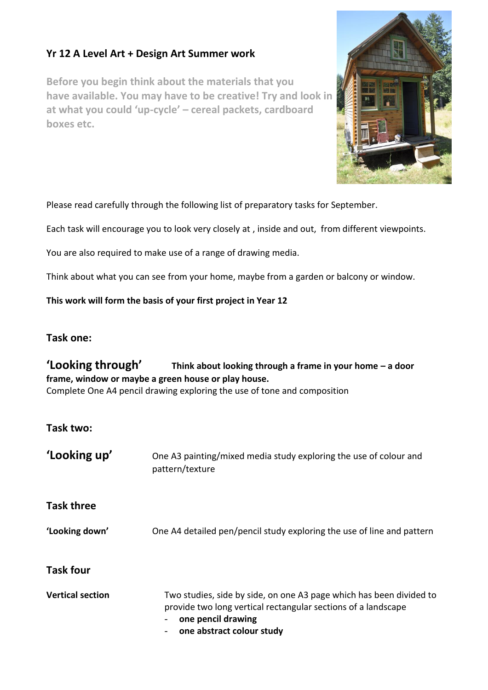## **Yr 12 A Level Art + Design Art Summer work**

**Before you begin think about the materials that you have available. You may have to be creative! Try and look in at what you could 'up-cycle' – cereal packets, cardboard boxes etc.** 



Please read carefully through the following list of preparatory tasks for September.

Each task will encourage you to look very closely at , inside and out, from different viewpoints.

You are also required to make use of a range of drawing media.

Think about what you can see from your home, maybe from a garden or balcony or window.

**This work will form the basis of your first project in Year 12**

## **Task one:**

## **'Looking through' Think about looking through a frame in your home – a door frame, window or maybe a green house or play house.**  Complete One A4 pencil drawing exploring the use of tone and composition

**Task two:**

| 'Looking up'            | One A3 painting/mixed media study exploring the use of colour and<br>pattern/texture                                                                                                    |
|-------------------------|-----------------------------------------------------------------------------------------------------------------------------------------------------------------------------------------|
| <b>Task three</b>       |                                                                                                                                                                                         |
| 'Looking down'          | One A4 detailed pen/pencil study exploring the use of line and pattern                                                                                                                  |
| <b>Task four</b>        |                                                                                                                                                                                         |
| <b>Vertical section</b> | Two studies, side by side, on one A3 page which has been divided to<br>provide two long vertical rectangular sections of a landscape<br>one pencil drawing<br>one abstract colour study |